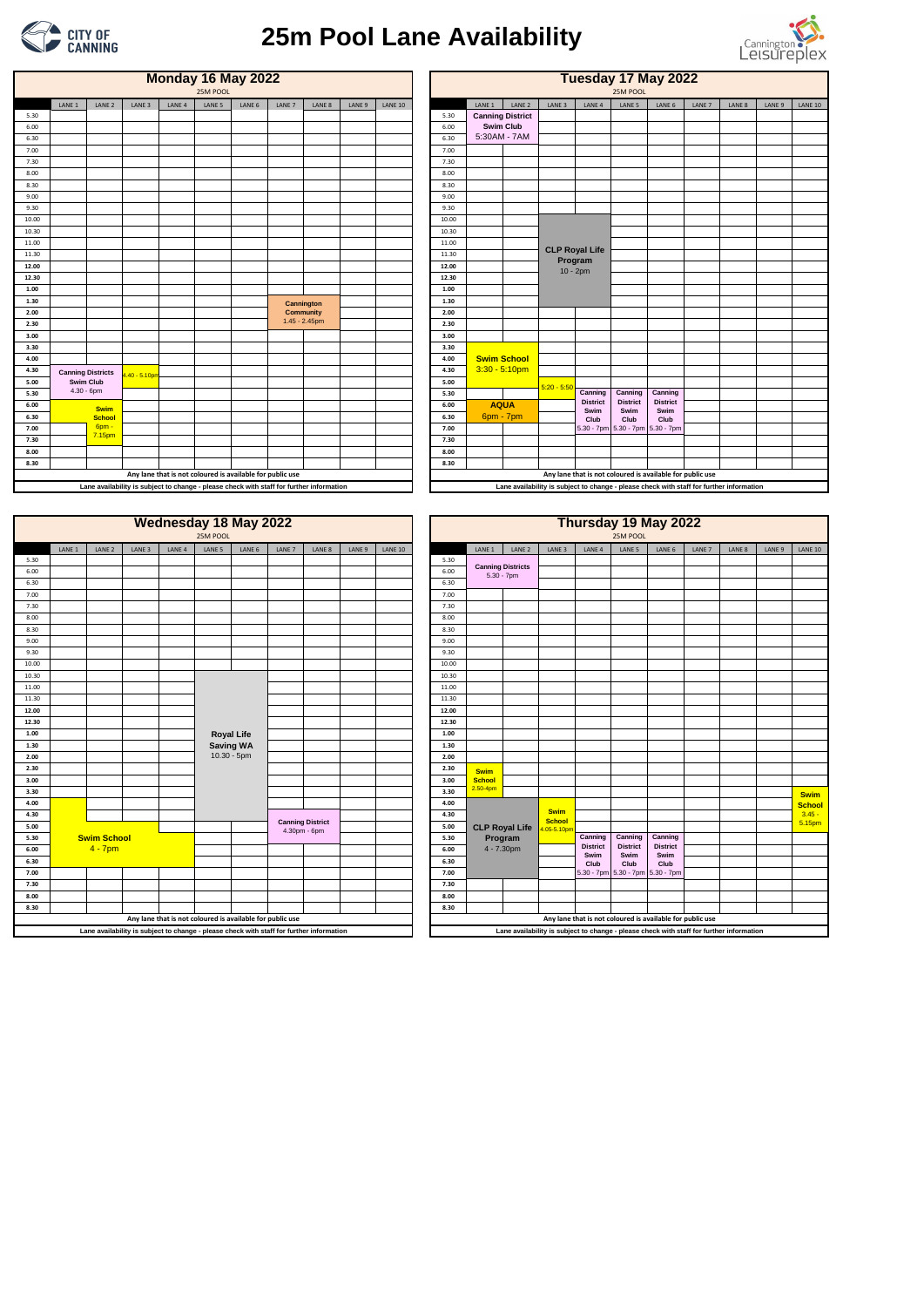|       | <b>Monday 16 May 2022</b><br>25M POOL |                   |                   |                   |                                                           |        |                                                                                          |        |        |                |       | Tuesday 17 May 2022<br>25M POOL |                         |                   |                                                                                          |                                  |                         |        |        |        |                |  |  |
|-------|---------------------------------------|-------------------|-------------------|-------------------|-----------------------------------------------------------|--------|------------------------------------------------------------------------------------------|--------|--------|----------------|-------|---------------------------------|-------------------------|-------------------|------------------------------------------------------------------------------------------|----------------------------------|-------------------------|--------|--------|--------|----------------|--|--|
|       | LANE 1                                | LANE <sub>2</sub> | LANE <sub>3</sub> | LANE <sub>4</sub> | LANE 5                                                    | LANE 6 | LANE 7                                                                                   | LANE 8 | LANE 9 | <b>LANE 10</b> |       | LANE 1                          | LANE <sub>2</sub>       | LANE <sub>3</sub> | LANE <sub>4</sub>                                                                        | LANE 5                           | LANE 6                  | LANE 7 | LANE 8 | LANE 9 | <b>LANE 10</b> |  |  |
| 5.30  |                                       |                   |                   |                   |                                                           |        |                                                                                          |        |        |                | 5.30  |                                 | <b>Canning District</b> |                   |                                                                                          |                                  |                         |        |        |        |                |  |  |
| 6.00  |                                       |                   |                   |                   |                                                           |        |                                                                                          |        |        |                | 6.00  |                                 | <b>Swim Club</b>        |                   |                                                                                          |                                  |                         |        |        |        |                |  |  |
| 6.30  |                                       |                   |                   |                   |                                                           |        |                                                                                          |        |        |                | 6.30  |                                 | 5:30AM - 7AM            |                   |                                                                                          |                                  |                         |        |        |        |                |  |  |
| 7.00  |                                       |                   |                   |                   |                                                           |        |                                                                                          |        |        |                | 7.00  |                                 |                         |                   |                                                                                          |                                  |                         |        |        |        |                |  |  |
| 7.30  |                                       |                   |                   |                   |                                                           |        |                                                                                          |        |        |                | 7.30  |                                 |                         |                   |                                                                                          |                                  |                         |        |        |        |                |  |  |
| 8.00  |                                       |                   |                   |                   |                                                           |        |                                                                                          |        |        |                | 8.00  |                                 |                         |                   |                                                                                          |                                  |                         |        |        |        |                |  |  |
| 8.30  |                                       |                   |                   |                   |                                                           |        |                                                                                          |        |        |                | 8.30  |                                 |                         |                   |                                                                                          |                                  |                         |        |        |        |                |  |  |
| 9.00  |                                       |                   |                   |                   |                                                           |        |                                                                                          |        |        |                | 9.00  |                                 |                         |                   |                                                                                          |                                  |                         |        |        |        |                |  |  |
| 9.30  |                                       |                   |                   |                   |                                                           |        |                                                                                          |        |        |                | 9.30  |                                 |                         |                   |                                                                                          |                                  |                         |        |        |        |                |  |  |
| 10.00 |                                       |                   |                   |                   |                                                           |        |                                                                                          |        |        |                | 10.00 |                                 |                         |                   |                                                                                          |                                  |                         |        |        |        |                |  |  |
| 10.30 |                                       |                   |                   |                   |                                                           |        |                                                                                          |        |        |                | 10.30 |                                 |                         |                   |                                                                                          |                                  |                         |        |        |        |                |  |  |
| 11.00 |                                       |                   |                   |                   |                                                           |        |                                                                                          |        |        |                | 11.00 |                                 |                         |                   |                                                                                          |                                  |                         |        |        |        |                |  |  |
| 11.30 |                                       |                   |                   |                   |                                                           |        |                                                                                          |        |        |                | 11.30 |                                 |                         |                   | <b>CLP Royal Life</b><br>Program                                                         |                                  |                         |        |        |        |                |  |  |
| 12.00 |                                       |                   |                   |                   |                                                           |        |                                                                                          |        |        |                | 12.00 |                                 |                         |                   | $10 - 2pm$                                                                               |                                  |                         |        |        |        |                |  |  |
| 12.30 |                                       |                   |                   |                   |                                                           |        |                                                                                          |        |        |                | 12.30 |                                 |                         |                   |                                                                                          |                                  |                         |        |        |        |                |  |  |
| 1.00  |                                       |                   |                   |                   |                                                           |        |                                                                                          |        |        |                | 1.00  |                                 |                         |                   |                                                                                          |                                  |                         |        |        |        |                |  |  |
| 1.30  |                                       |                   |                   |                   |                                                           |        | Cannington                                                                               |        |        |                | 1.30  |                                 |                         |                   |                                                                                          |                                  |                         |        |        |        |                |  |  |
| 2.00  |                                       |                   |                   |                   |                                                           |        | <b>Community</b>                                                                         |        |        |                | 2.00  |                                 |                         |                   |                                                                                          |                                  |                         |        |        |        |                |  |  |
| 2.30  |                                       |                   |                   |                   |                                                           |        | 1.45 - 2.45pm                                                                            |        |        |                | 2.30  |                                 |                         |                   |                                                                                          |                                  |                         |        |        |        |                |  |  |
| 3.00  |                                       |                   |                   |                   |                                                           |        |                                                                                          |        |        |                | 3.00  |                                 |                         |                   |                                                                                          |                                  |                         |        |        |        |                |  |  |
| 3.30  |                                       |                   |                   |                   |                                                           |        |                                                                                          |        |        |                | 3.30  |                                 |                         |                   |                                                                                          |                                  |                         |        |        |        |                |  |  |
| 4.00  |                                       |                   |                   |                   |                                                           |        |                                                                                          |        |        |                | 4.00  |                                 | <b>Swim School</b>      |                   |                                                                                          |                                  |                         |        |        |        |                |  |  |
| 4.30  | <b>Canning Districts</b>              |                   | .40 - 5.10pm      |                   |                                                           |        |                                                                                          |        |        |                | 4.30  |                                 | $3:30 - 5:10$ pm        |                   |                                                                                          |                                  |                         |        |        |        |                |  |  |
| 5.00  | <b>Swim Club</b>                      |                   |                   |                   |                                                           |        |                                                                                          |        |        |                | 5.00  |                                 |                         | $5:20 - 5:50$     |                                                                                          |                                  |                         |        |        |        |                |  |  |
| 5.30  | $4.30 - 6$ pm                         |                   |                   |                   |                                                           |        |                                                                                          |        |        |                | 5.30  |                                 |                         |                   | Canning                                                                                  | Canning                          | Canning                 |        |        |        |                |  |  |
| 6.00  |                                       | <b>Swim</b>       |                   |                   |                                                           |        |                                                                                          |        |        |                | 6.00  |                                 | <b>AQUA</b>             |                   | <b>District</b><br>Swim                                                                  | <b>District</b><br>Swim          | <b>District</b><br>Swim |        |        |        |                |  |  |
| 6.30  |                                       | <b>School</b>     |                   |                   |                                                           |        |                                                                                          |        |        |                | 6.30  | 6pm - 7pm                       |                         |                   | Club                                                                                     | Club                             | Club                    |        |        |        |                |  |  |
| 7.00  |                                       | 6pm -<br>7.15pm   |                   |                   |                                                           |        |                                                                                          |        |        |                | 7.00  |                                 |                         |                   |                                                                                          | 5.30 - 7pm 5.30 - 7pm 5.30 - 7pm |                         |        |        |        |                |  |  |
| 7.30  |                                       |                   |                   |                   |                                                           |        |                                                                                          |        |        |                | 7.30  |                                 |                         |                   |                                                                                          |                                  |                         |        |        |        |                |  |  |
| 8.00  |                                       |                   |                   |                   |                                                           |        |                                                                                          |        |        |                | 8.00  |                                 |                         |                   |                                                                                          |                                  |                         |        |        |        |                |  |  |
| 8.30  |                                       |                   |                   |                   |                                                           |        |                                                                                          |        |        |                | 8.30  |                                 |                         |                   |                                                                                          |                                  |                         |        |        |        |                |  |  |
|       |                                       |                   |                   |                   | Any lane that is not coloured is available for public use |        |                                                                                          |        |        |                |       |                                 |                         |                   | Any lane that is not coloured is available for public use                                |                                  |                         |        |        |        |                |  |  |
|       |                                       |                   |                   |                   |                                                           |        | Lane availability is subject to change - please check with staff for further information |        |        |                |       |                                 |                         |                   | Lane availability is subject to change - please check with staff for further information |                                  |                         |        |        |        |                |  |  |
|       |                                       |                   |                   |                   |                                                           |        |                                                                                          |        |        |                |       |                                 |                         |                   |                                                                                          |                                  |                         |        |        |        |                |  |  |

|       |                   |                   |                   |                   |                   | <b>Wednesday 18 May 2022</b> |        |        |                   |                |
|-------|-------------------|-------------------|-------------------|-------------------|-------------------|------------------------------|--------|--------|-------------------|----------------|
|       |                   |                   |                   |                   | 25M POOL          |                              |        |        |                   |                |
|       | LANE <sub>1</sub> | LANE <sub>2</sub> | LANE <sub>3</sub> | LANE <sub>4</sub> | LANE <sub>5</sub> | LANE 6                       | LANE 7 | LANE 8 | LANE <sub>9</sub> | <b>LANE 10</b> |
| 5.30  |                   |                   |                   |                   |                   |                              |        |        |                   |                |
| 6.00  |                   |                   |                   |                   |                   |                              |        |        |                   |                |
| 6.30  |                   |                   |                   |                   |                   |                              |        |        |                   |                |
| 7.00  |                   |                   |                   |                   |                   |                              |        |        |                   |                |
| 7.30  |                   |                   |                   |                   |                   |                              |        |        |                   |                |
| 8.00  |                   |                   |                   |                   |                   |                              |        |        |                   |                |
| 8.30  |                   |                   |                   |                   |                   |                              |        |        |                   |                |
| 9.00  |                   |                   |                   |                   |                   |                              |        |        |                   |                |
| 9.30  |                   |                   |                   |                   |                   |                              |        |        |                   |                |
| 10.00 |                   |                   |                   |                   |                   |                              |        |        |                   |                |
| 10.30 |                   |                   |                   |                   |                   |                              |        |        |                   |                |
| 11.00 |                   |                   |                   |                   |                   |                              |        |        |                   |                |
| 11.30 |                   |                   |                   |                   |                   |                              |        |        |                   |                |
| 12.00 |                   |                   |                   |                   |                   |                              |        |        |                   |                |
| 12.30 |                   |                   |                   |                   |                   |                              |        |        |                   |                |
| 1.00  |                   |                   |                   |                   |                   | <b>Royal Life</b>            |        |        |                   |                |
| 1.30  |                   |                   |                   |                   |                   | <b>Saving WA</b>             |        |        |                   |                |
| 2.00  |                   |                   |                   |                   |                   | $10.30 - 5pm$                |        |        |                   |                |



## **25m Pool Lane Availability**



|                      |                                                                                          |                    |        |                   | 25M POOL          | <b>Wednesday 18 May 2022</b>                              |                                         |        |        |                |                      |                                           |                       |                              |                                  | 25M POOL                | Thursday 19 May 2022                                                                     |        |        |        |                |
|----------------------|------------------------------------------------------------------------------------------|--------------------|--------|-------------------|-------------------|-----------------------------------------------------------|-----------------------------------------|--------|--------|----------------|----------------------|-------------------------------------------|-----------------------|------------------------------|----------------------------------|-------------------------|------------------------------------------------------------------------------------------|--------|--------|--------|----------------|
|                      | LANE 1                                                                                   | LANE <sub>2</sub>  | LANE 3 | LANE <sub>4</sub> | LANE 5            | LANE 6                                                    | LANE 7                                  | LANE 8 | LANE 9 | <b>LANE 10</b> |                      | LANE 1                                    | LANE <sub>2</sub>     | LANE 3                       | LANE <sub>4</sub>                | LANE 5                  | LANE 6                                                                                   | LANE 7 | LANE 8 | LANE 9 | <b>LANE 10</b> |
| 5.30<br>6.00<br>6.30 |                                                                                          |                    |        |                   |                   |                                                           |                                         |        |        |                | 5.30<br>6.00<br>6.30 | <b>Canning Districts</b><br>$5.30 - 7$ pm |                       |                              |                                  |                         |                                                                                          |        |        |        |                |
| 7.00                 |                                                                                          |                    |        |                   |                   |                                                           |                                         |        |        |                | 7.00                 |                                           |                       |                              |                                  |                         |                                                                                          |        |        |        |                |
| 7.30                 |                                                                                          |                    |        |                   |                   |                                                           |                                         |        |        |                | 7.30                 |                                           |                       |                              |                                  |                         |                                                                                          |        |        |        |                |
| 8.00                 |                                                                                          |                    |        |                   |                   |                                                           |                                         |        |        |                | 8.00                 |                                           |                       |                              |                                  |                         |                                                                                          |        |        |        |                |
| 8.30                 |                                                                                          |                    |        |                   |                   |                                                           |                                         |        |        |                | 8.30                 |                                           |                       |                              |                                  |                         |                                                                                          |        |        |        |                |
| 9.00                 |                                                                                          |                    |        |                   |                   |                                                           |                                         |        |        |                | 9.00                 |                                           |                       |                              |                                  |                         |                                                                                          |        |        |        |                |
| 9.30                 |                                                                                          |                    |        |                   |                   |                                                           |                                         |        |        |                | 9.30                 |                                           |                       |                              |                                  |                         |                                                                                          |        |        |        |                |
| 10.00                |                                                                                          |                    |        |                   |                   |                                                           |                                         |        |        |                | 10.00                |                                           |                       |                              |                                  |                         |                                                                                          |        |        |        |                |
| 10.30                |                                                                                          |                    |        |                   | <b>Royal Life</b> |                                                           |                                         |        |        |                | 10.30                |                                           |                       |                              |                                  |                         |                                                                                          |        |        |        |                |
| 11.00                |                                                                                          |                    |        |                   |                   |                                                           |                                         |        |        |                | 11.00                |                                           |                       |                              |                                  |                         |                                                                                          |        |        |        |                |
| 11.30                |                                                                                          |                    |        |                   |                   |                                                           |                                         |        |        |                | 11.30                |                                           |                       |                              |                                  |                         |                                                                                          |        |        |        |                |
| 12.00                |                                                                                          |                    |        |                   |                   |                                                           |                                         |        |        |                | 12.00                |                                           |                       |                              |                                  |                         |                                                                                          |        |        |        |                |
| 12.30<br>1.00        |                                                                                          |                    |        |                   |                   |                                                           |                                         |        |        |                | 12.30<br>1.00        |                                           |                       |                              |                                  |                         |                                                                                          |        |        |        |                |
| 1.30                 |                                                                                          |                    |        |                   |                   | <b>Saving WA</b>                                          |                                         |        |        |                | 1.30                 |                                           |                       |                              |                                  |                         |                                                                                          |        |        |        |                |
| 2.00                 |                                                                                          |                    |        |                   |                   | 10.30 - 5pm                                               |                                         |        |        |                | 2.00                 |                                           |                       |                              |                                  |                         |                                                                                          |        |        |        |                |
| 2.30                 |                                                                                          |                    |        |                   |                   |                                                           |                                         |        |        |                | 2.30                 | <b>Swim</b>                               |                       |                              |                                  |                         |                                                                                          |        |        |        |                |
| 3.00                 |                                                                                          |                    |        |                   |                   |                                                           |                                         |        |        |                | 3.00                 | <b>School</b><br>$2.50 - 4pm$             |                       |                              |                                  |                         |                                                                                          |        |        |        |                |
| 3.30                 |                                                                                          |                    |        |                   |                   |                                                           |                                         |        |        |                | 3.30                 |                                           |                       |                              |                                  |                         |                                                                                          |        |        |        | <b>Swim</b>    |
| 4.00                 |                                                                                          |                    |        |                   |                   |                                                           |                                         |        |        |                | 4.00                 |                                           |                       |                              |                                  |                         |                                                                                          |        |        |        | <b>School</b>  |
| 4.30                 |                                                                                          |                    |        |                   |                   |                                                           |                                         |        |        |                | 4.30                 |                                           |                       | <b>Swim</b><br><b>School</b> |                                  |                         |                                                                                          |        |        |        | $3.45 -$       |
| 5.00                 |                                                                                          |                    |        |                   |                   |                                                           | <b>Canning District</b><br>4.30pm - 6pm |        |        |                | 5.00                 |                                           | <b>CLP Royal Life</b> | .05-5.10pm                   |                                  |                         |                                                                                          |        |        |        | 5.15pm         |
| 5.30                 |                                                                                          | <b>Swim School</b> |        |                   |                   |                                                           |                                         |        |        |                | 5.30                 | Program                                   |                       |                              | Canning                          | Canning                 | Canning                                                                                  |        |        |        |                |
| 6.00                 |                                                                                          | $4 - 7pm$          |        |                   |                   |                                                           |                                         |        |        |                | 6.00                 | 4 - 7.30pm                                |                       |                              | <b>District</b><br>Swim          | <b>District</b><br>Swim | <b>District</b><br>Swim                                                                  |        |        |        |                |
| 6.30                 |                                                                                          |                    |        |                   |                   |                                                           |                                         |        |        |                | 6.30                 |                                           |                       |                              | Club                             | Club                    | Club                                                                                     |        |        |        |                |
| 7.00                 |                                                                                          |                    |        |                   |                   |                                                           |                                         |        |        |                | 7.00                 |                                           |                       |                              | 5.30 - 7pm 5.30 - 7pm 5.30 - 7pm |                         |                                                                                          |        |        |        |                |
| 7.30                 |                                                                                          |                    |        |                   |                   |                                                           |                                         |        |        |                | 7.30                 |                                           |                       |                              |                                  |                         |                                                                                          |        |        |        |                |
| 8.00                 |                                                                                          |                    |        |                   |                   |                                                           |                                         |        |        |                | 8.00                 |                                           |                       |                              |                                  |                         |                                                                                          |        |        |        |                |
| 8.30                 |                                                                                          |                    |        |                   |                   |                                                           |                                         |        |        |                | 8.30                 |                                           |                       |                              |                                  |                         |                                                                                          |        |        |        |                |
|                      |                                                                                          |                    |        |                   |                   | Any lane that is not coloured is available for public use |                                         |        |        |                |                      |                                           |                       |                              |                                  |                         | Any lane that is not coloured is available for public use                                |        |        |        |                |
|                      | Lane availability is subject to change - please check with staff for further information |                    |        |                   |                   |                                                           |                                         |        |        |                |                      |                                           |                       |                              |                                  |                         | Lane availability is subject to change - please check with staff for further information |        |        |        |                |